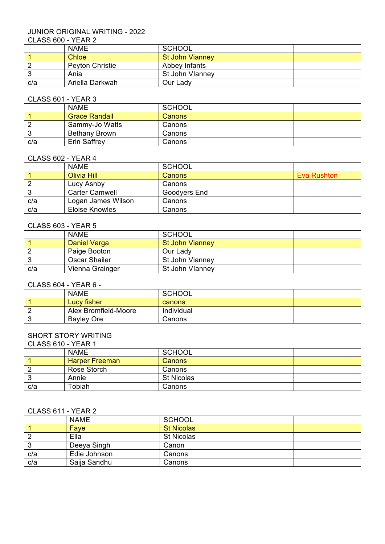# JUNIOR ORIGINAL WRITING - 2022

# CLASS 600 - YEAR 2

| .   |                        |                        |  |
|-----|------------------------|------------------------|--|
|     | <b>NAME</b>            | SCHOOL                 |  |
|     | Chloe                  | <b>St John Vianney</b> |  |
|     | <b>Peyton Christie</b> | Abbey Infants          |  |
|     | Ania                   | St John Vlanney        |  |
| c/a | Ariella Darkwah        | Our Lady               |  |

# CLASS 601 - YEAR 3

|     | <b>NAME</b>          | SCHOOL |  |
|-----|----------------------|--------|--|
|     | <b>Grace Randall</b> | Canons |  |
|     | Sammy-Jo Watts       | Canons |  |
|     | <b>Bethany Brown</b> | Canons |  |
| c/a | <b>Erin Saffrey</b>  | Canons |  |

#### CLASS 602 - YEAR 4

|     | <b>NAME</b>           | <b>SCHOOL</b> |                    |
|-----|-----------------------|---------------|--------------------|
|     | <b>Olivia Hill</b>    | Canons        | <b>Eva Rushton</b> |
|     | Lucy Ashby            | Canons        |                    |
| J   | <b>Carter Camwell</b> | Goodyers End  |                    |
| c/a | Logan James Wilson    | Canons        |                    |
| c/a | Eloise Knowles        | Canons        |                    |

#### CLASS 603 - YEAR 5

|     | <b>NAME</b>          | SCHOOL                 |  |
|-----|----------------------|------------------------|--|
|     | Daniel Varga         | <b>St John Vianney</b> |  |
|     | Paige Booton         | Our Lady               |  |
|     | <b>Oscar Shailer</b> | St John Vianney        |  |
| c/a | Vienna Grainger      | St John Vlanney        |  |

### CLASS 604 - YEAR 6 -

| <b>NAME</b>          | <b>SCHOOL</b> |  |
|----------------------|---------------|--|
| Lucy fisher          | canons        |  |
| Alex Bromfield-Moore | Individual    |  |
| <b>Bayley Ore</b>    | Canons        |  |

## SHORT STORY WRITING

CLASS 610 - YEAR 1

|     | <b>NAME</b>           | <b>SCHOOL</b>     |  |
|-----|-----------------------|-------------------|--|
|     | <b>Harper Freeman</b> | Canons            |  |
|     | Rose Storch           | Canons            |  |
|     | Annie                 | <b>St Nicolas</b> |  |
| c/a | Tobiah                | Canons            |  |

### CLASS 611 - YEAR 2

|     | <b>NAME</b>  | <b>SCHOOL</b>     |  |
|-----|--------------|-------------------|--|
|     | Faye         | <b>St Nicolas</b> |  |
|     | Ella         | <b>St Nicolas</b> |  |
| ◡   | Deeya Singh  | Canon             |  |
| c/a | Edie Johnson | Canons            |  |
| c/a | Saija Sandhu | Canons            |  |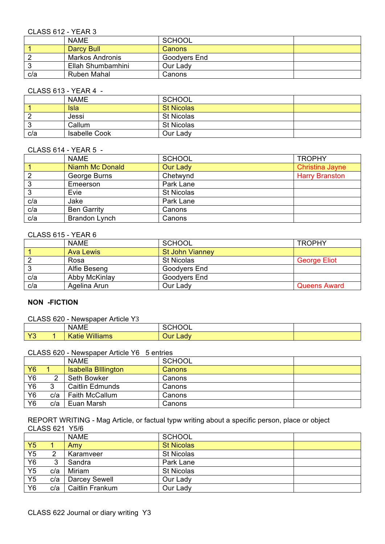### CLASS 612 - YEAR 3

|     | <b>NAME</b>       | <b>SCHOOL</b> |  |
|-----|-------------------|---------------|--|
|     | Darcy Bull        | <b>Canons</b> |  |
|     | Markos Andronis   | Goodyers End  |  |
|     | Ellah Shumbamhini | Our Lady      |  |
| c/a | Ruben Mahal       | Canons        |  |

## CLASS 613 - YEAR 4 -

|        | <b>NAME</b>          | SCHOOL            |  |
|--------|----------------------|-------------------|--|
|        | Isla                 | <b>St Nicolas</b> |  |
|        | Jessi                | <b>St Nicolas</b> |  |
| ົ<br>ಎ | Callum               | <b>St Nicolas</b> |  |
| c/a    | <b>Isabelle Cook</b> | Our Lady          |  |

#### CLASS 614 - YEAR 5 -

|        | <b>NAME</b>            | <b>SCHOOL</b>     | <b>TROPHY</b>          |
|--------|------------------------|-------------------|------------------------|
|        | <b>Niamh Mc Donald</b> | <b>Our Lady</b>   | <b>Christina Jayne</b> |
|        | George Burns           | Chetwynd          | <b>Harry Branston</b>  |
| ົ<br>J | Emeerson               | Park Lane         |                        |
| ◠<br>J | Evie                   | <b>St Nicolas</b> |                        |
| c/a    | Jake                   | Park Lane         |                        |
| c/a    | <b>Ben Garrity</b>     | Canons            |                        |
| c/a    | Brandon Lynch          | Canons            |                        |

# CLASS 615 - YEAR 6

|     | <b>NAME</b>      | <b>SCHOOL</b>          | <b>TROPHY</b>       |
|-----|------------------|------------------------|---------------------|
|     | <b>Ava Lewis</b> | <b>St John Vianney</b> |                     |
|     | Rosa             | <b>St Nicolas</b>      | <b>George Eliot</b> |
|     | Alfie Beseng     | Goodvers End           |                     |
| c/a | Abby McKinlay    | Goodyers End           |                     |
| c/a | Agelina Arun     | Our Lady               | <b>Queens Award</b> |

# **NON -FICTION**

## CLASS 620 - Newspaper Article Y3

|            | <b>NAME</b>                  | 1011001<br>IUUL |  |
|------------|------------------------------|-----------------|--|
| $\sqrt{2}$ | <b>Williams</b><br>.<br>atie | Lady<br>)ur     |  |

#### CLASS 620 - Newspaper Article Y6 5 entries

|                |     | <b>NAME</b>                | <b>SCHOOL</b> |  |
|----------------|-----|----------------------------|---------------|--|
| <b>Y6</b>      |     | <b>Isabella Billington</b> | <b>Canons</b> |  |
| Y <sub>6</sub> | ົ   | <b>Seth Bowker</b>         | Canons        |  |
| Y <sub>6</sub> | ົ   | Caitlin Edmunds            | Canons        |  |
| Y6             | c/a | <b>Faith McCallum</b>      | Canons        |  |
| Y6             | c/a | Euan Marsh                 | Canons        |  |

REPORT WRITING - Mag Article, or factual typw writing about a specific person, place or object CLASS 621 Y5/6

|                |     | <b>NAME</b>     | <b>SCHOOL</b>     |  |
|----------------|-----|-----------------|-------------------|--|
| <b>Y5</b>      |     | Amy             | <b>St Nicolas</b> |  |
| Y5             | 2   | Karamveer       | <b>St Nicolas</b> |  |
| Y6             | 3   | Sandra          | Park Lane         |  |
| Y <sub>5</sub> | c/a | Miriam          | <b>St Nicolas</b> |  |
| Y <sub>5</sub> | c/a | Darcey Sewell   | Our Lady          |  |
| Y6             | c/a | Caitlin Frankum | Our Lady          |  |